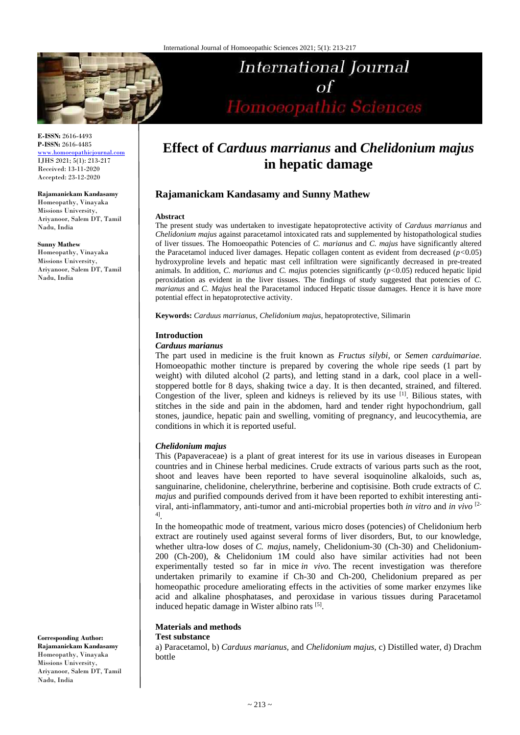

**E-ISSN:** 2616-4493 **P-ISSN:** 2616-4485 [www.homoeopathicjournal.com](file://Server/test/homoeopathicjournal/issue/vol%204/issue%201/www.homoeopathicjournal.com)

IJHS 2021; 5(1): 213-217 Received: 13-11-2020 Accepted: 23-12-2020

**Rajamanickam Kandasamy** 

Homeopathy, Vinayaka Missions University, Ariyanoor, Salem DT, Tamil Nadu, India

**Sunny Mathew** Homeopathy, Vinayaka Missions University, Ariyanoor, Salem DT, Tamil Nadu, India

**Corresponding Author: Rajamanickam Kandasamy** 

Homeopathy, Vinayaka Missions University, Ariyanoor, Salem DT, Tamil Nadu, India

# **Effect of** *Carduus marrianus* **and** *Chelidonium majus*  **in hepatic damage**

**International Journal** 

Homoeopathic Sciences

 $\sigma$ f

## **Rajamanickam Kandasamy and Sunny Mathew**

#### **Abstract**

The present study was undertaken to investigate hepatoprotective activity of *Carduus marrianus* and *Chelidonium majus* against paracetamol intoxicated rats and supplemented by histopathological studies of liver tissues. The Homoeopathic Potencies of *C. marianus* and *C. majus* have significantly altered the Paracetamol induced liver damages. Hepatic collagen content as evident from decreased (*p<*0.05) hydroxyproline levels and hepatic mast cell infiltration were significantly decreased in pre-treated animals. In addition, *C. marianus* and *C. majus* potencies significantly (*p<*0.05) reduced hepatic lipid peroxidation as evident in the liver tissues. The findings of study suggested that potencies of *C. marianus* and *C. Majus* heal the Paracetamol induced Hepatic tissue damages. Hence it is have more potential effect in hepatoprotective activity.

**Keywords:** *Carduus marrianus, Chelidonium majus,* hepatoprotective, Silimarin

## **Introduction**

## *Carduus marianus*

The part used in medicine is the fruit known as *Fructus silybi*, or *Semen carduimariae*. Homoeopathic mother tincture is prepared by covering the whole ripe seeds (1 part by weight) with diluted alcohol (2 parts), and letting stand in a dark, cool place in a wellstoppered bottle for 8 days, shaking twice a day. It is then decanted, strained, and filtered. Congestion of the liver, spleen and kidneys is relieved by its use [1]. Bilious states, with stitches in the side and pain in the abdomen, hard and tender right hypochondrium, gall stones, jaundice, hepatic pain and swelling, vomiting of pregnancy, and leucocythemia, are conditions in which it is reported useful.

## *Chelidonium majus*

This (Papaveraceae) is a plant of great interest for its use in various diseases in European countries and in Chinese herbal medicines. Crude extracts of various parts such as the root, shoot and leaves have been reported to have several isoquinoline alkaloids, such as, sanguinarine, chelidonine, chelerythrine, berberine and coptisisine. Both crude extracts of *C. majus* and purified compounds derived from it have been reported to exhibit interesting antiviral, anti-inflammatory, anti-tumor and anti-microbial properties both *in vitro* and *in vivo* [2- 4] .

In the homeopathic mode of treatment, various micro doses (potencies) of Chelidonium herb extract are routinely used against several forms of liver disorders, But, to our knowledge, whether ultra-low doses of *C. majus,* namely, Chelidonium-30 (Ch-30) and Chelidonium-200 (Ch-200), & Chelidonium 1M could also have similar activities had not been experimentally tested so far in mice *in vivo.* The recent investigation was therefore undertaken primarily to examine if Ch-30 and Ch-200, Chelidonium prepared as per homeopathic procedure ameliorating effects in the activities of some marker enzymes like acid and alkaline phosphatases, and peroxidase in various tissues during Paracetamol induced hepatic damage in Wister albino rats [5].

## **Materials and methods**

## **Test substance**

a) Paracetamol, b) *Carduus marianus,* and *Chelidonium majus,* c) Distilled water, d) Drachm bottle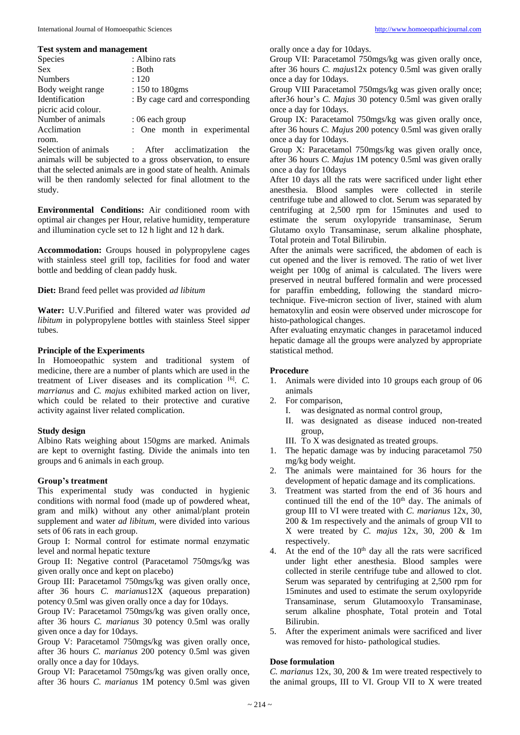#### **Test system and management**

| <b>Species</b>      | : Albino rats                    |  |  |  |  |  |
|---------------------|----------------------------------|--|--|--|--|--|
| <b>Sex</b>          | : Both                           |  |  |  |  |  |
| <b>Numbers</b>      | : 120                            |  |  |  |  |  |
| Body weight range   | : 150 to 180gms                  |  |  |  |  |  |
| Identification      | : By cage card and corresponding |  |  |  |  |  |
| picric acid colour. |                                  |  |  |  |  |  |
| Number of animals   | : 06 each group                  |  |  |  |  |  |
| Acclimation         | : One month in experimental      |  |  |  |  |  |
| room.               |                                  |  |  |  |  |  |
|                     |                                  |  |  |  |  |  |

Selection of animals : After acclimatization the animals will be subjected to a gross observation, to ensure that the selected animals are in good state of health. Animals will be then randomly selected for final allotment to the study.

**Environmental Conditions:** Air conditioned room with optimal air changes per Hour, relative humidity, temperature and illumination cycle set to 12 h light and 12 h dark.

**Accommodation:** Groups housed in polypropylene cages with stainless steel grill top, facilities for food and water bottle and bedding of clean paddy husk.

**Diet:** Brand feed pellet was provided *ad libitum*

**Water:** U.V.Purified and filtered water was provided *ad libitum* in polypropylene bottles with stainless Steel sipper tubes.

## **Principle of the Experiments**

In Homoeopathic system and traditional system of medicine, there are a number of plants which are used in the treatment of Liver diseases and its complication [6] . *C. marrianus* and *C. majus* exhibited marked action on liver, which could be related to their protective and curative activity against liver related complication.

## **Study design**

Albino Rats weighing about 150gms are marked. Animals are kept to overnight fasting. Divide the animals into ten groups and 6 animals in each group.

## **Group's treatment**

This experimental study was conducted in hygienic conditions with normal food (made up of powdered wheat, gram and milk) without any other animal/plant protein supplement and water *ad libitum,* were divided into various sets of 06 rats in each group.

Group I: Normal control for estimate normal enzymatic level and normal hepatic texture

Group II: Negative control (Paracetamol 750mgs/kg was given orally once and kept on placebo)

Group III: Paracetamol 750mgs/kg was given orally once, after 36 hours *C. marianus*12X (aqueous preparation) potency 0.5ml was given orally once a day for 10days.

Group IV: Paracetamol 750mgs/kg was given orally once, after 36 hours *C. marianus* 30 potency 0.5ml was orally given once a day for 10days.

Group V: Paracetamol 750mgs/kg was given orally once, after 36 hours *C. marianus* 200 potency 0.5ml was given orally once a day for 10days.

Group VI: Paracetamol 750mgs/kg was given orally once, after 36 hours *C. marianus* 1M potency 0.5ml was given orally once a day for 10days.

Group VII: Paracetamol 750mgs/kg was given orally once, after 36 hours *C. majus*12x potency 0.5ml was given orally once a day for 10days.

Group VIII Paracetamol 750mgs/kg was given orally once; after36 hour's *C. Majus* 30 potency 0.5ml was given orally once a day for 10days.

Group IX: Paracetamol 750mgs/kg was given orally once, after 36 hours *C. Majus* 200 potency 0.5ml was given orally once a day for 10days.

Group X: Paracetamol 750mgs/kg was given orally once, after 36 hours *C. Majus* 1M potency 0.5ml was given orally once a day for 10days

After 10 days all the rats were sacrificed under light ether anesthesia. Blood samples were collected in sterile centrifuge tube and allowed to clot. Serum was separated by centrifuging at 2,500 rpm for 15minutes and used to estimate the serum oxylopyride transaminase, Serum Glutamo oxylo Transaminase, serum alkaline phosphate, Total protein and Total Bilirubin.

After the animals were sacrificed, the abdomen of each is cut opened and the liver is removed. The ratio of wet liver weight per 100g of animal is calculated. The livers were preserved in neutral buffered formalin and were processed for paraffin embedding, following the standard microtechnique. Five-micron section of liver, stained with alum hematoxylin and eosin were observed under microscope for histo-pathological changes.

After evaluating enzymatic changes in paracetamol induced hepatic damage all the groups were analyzed by appropriate statistical method.

## **Procedure**

- 1. Animals were divided into 10 groups each group of 06 animals
- 2. For comparison,
	- I. was designated as normal control group,
	- II. was designated as disease induced non-treated group,
	- III. To X was designated as treated groups.
- 1. The hepatic damage was by inducing paracetamol 750 mg/kg body weight.
- 2. The animals were maintained for 36 hours for the development of hepatic damage and its complications.
- 3. Treatment was started from the end of 36 hours and continued till the end of the 10<sup>th</sup> day. The animals of group III to VI were treated with *C. marianus* 12x, 30, 200 & 1m respectively and the animals of group VII to X were treated by *C. majus* 12x, 30, 200 & 1m respectively.
- 4. At the end of the  $10<sup>th</sup>$  day all the rats were sacrificed under light ether anesthesia. Blood samples were collected in sterile centrifuge tube and allowed to clot. Serum was separated by centrifuging at 2,500 rpm for 15minutes and used to estimate the serum oxylopyride Transaminase, serum Glutamooxylo Transaminase, serum alkaline phosphate, Total protein and Total Bilirubin.
- 5. After the experiment animals were sacrificed and liver was removed for histo- pathological studies.

## **Dose formulation**

*C. marianus* 12x, 30, 200 & 1m were treated respectively to the animal groups, III to VI. Group VII to X were treated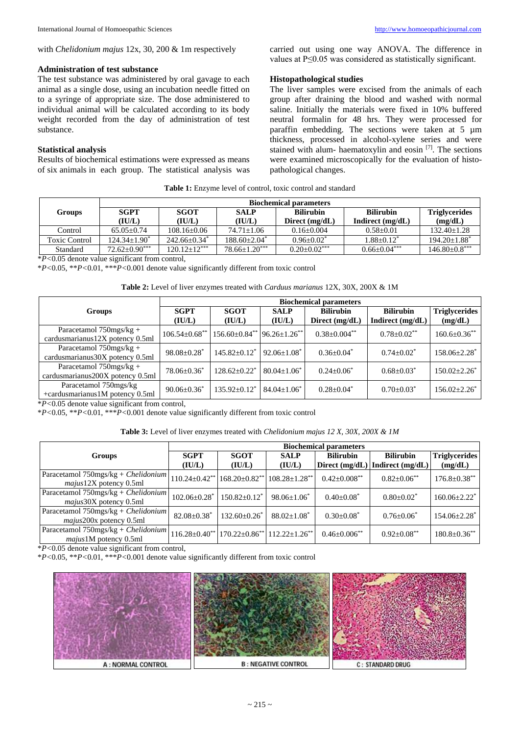#### **Administration of test substance**

The test substance was administered by oral gavage to each animal as a single dose, using an incubation needle fitted on to a syringe of appropriate size. The dose administered to individual animal will be calculated according to its body weight recorded from the day of administration of test substance.

## **Statistical analysis**

Results of biochemical estimations were expressed as means of six animals in each group. The statistical analysis was carried out using one way ANOVA. The difference in values at P≤0.05 was considered as statistically significant.

#### **Histopathological studies**

The liver samples were excised from the animals of each group after draining the blood and washed with normal saline. Initially the materials were fixed in 10% buffered neutral formalin for 48 hrs. They were processed for paraffin embedding. The sections were taken at 5 µm thickness, processed in alcohol-xylene series and were stained with alum- haematoxylin and eosin  $[7]$ . The sections were examined microscopically for the evaluation of histopathological changes.

**Table 1:** Enzyme level of control, toxic control and standard

|                      | <b>Biochemical parameters</b> |                 |                        |                  |                    |                              |  |  |
|----------------------|-------------------------------|-----------------|------------------------|------------------|--------------------|------------------------------|--|--|
| <b>Groups</b>        | <b>SGPT</b>                   | <b>SGOT</b>     | <b>SALP</b>            | <b>Bilirubin</b> | <b>Bilirubin</b>   | <b>Triglycerides</b>         |  |  |
|                      | (IU/L)                        | (IU/L)          | (IU/L)                 | Direct $(mg/dL)$ | Indirect $(mg/dL)$ | (mg/dL)                      |  |  |
| Control              | $65.05 + 0.74$                | $108.16 + 0.06$ | $74.71 + 1.06$         | $0.16 + 0.004$   | $0.58 + 0.01$      | $132.40 + 1.28$              |  |  |
| <b>Toxic Control</b> | $124.34+1.90^*$               | $242.66+0.34*$  | $188.60 + 2.04^*$      | $0.96 + 0.02^*$  | $1.88 + 0.12^*$    | $194.20 + 1.88$ <sup>*</sup> |  |  |
| Standard             | $72.62+0.90***$               | $120.12+12***$  | $78.66{\pm}1.20^{***}$ | $0.20+0.02***$   | $0.66 + 0.04***$   | $146.80\pm0.8***$            |  |  |

\**P<*0.05 denote value significant from control,

\**P<*0.05, \*\**P<*0.01, \*\*\**P<*0.001 denote value significantly different from toxic control

| <b>Table 2:</b> Level of liver enzymes treated with <i>Carduus marianus</i> 12X, 30X, 200X & 1M |  |  |  |
|-------------------------------------------------------------------------------------------------|--|--|--|
|-------------------------------------------------------------------------------------------------|--|--|--|

|                                                                | <b>Biochemical parameters</b> |                                              |                       |                                    |                                      |                                 |  |
|----------------------------------------------------------------|-------------------------------|----------------------------------------------|-----------------------|------------------------------------|--------------------------------------|---------------------------------|--|
| Groups                                                         | <b>SGPT</b><br>(IU/L)         | <b>SGOT</b><br>(IU/L)                        | <b>SALP</b><br>(IU/L) | <b>Bilirubin</b><br>Direct (mg/dL) | <b>Bilirubin</b><br>Indirect (mg/dL) | <b>Triglycerides</b><br>(mg/dL) |  |
| Paracetamol $750$ mgs/kg +<br>cardusmarianus12X potency 0.5ml  | $106.54 \pm 0.68$ **          | $156.60 \pm 0.84^{**}$ 96.26 $\pm 1.26^{**}$ |                       | $0.38 \pm 0.004$ **                | $0.78 \pm 0.02$ **                   | $160.6 \pm 0.36$ **             |  |
| Paracetamol $750$ mgs/kg +<br>cardusmarianus 30X potency 0.5ml | $98.08 \pm 0.28$ <sup>*</sup> | $145.82 + 0.12^*$                            | $92.06 \pm 1.08^*$    | $0.36 \pm 0.04^*$                  | $0.74 \pm 0.02^*$                    | $158.06 \pm 2.28$ <sup>*</sup>  |  |
| Paracetamol $750$ mgs/kg +<br>cardusmarianus200X potency 0.5ml | $78.06 \pm 0.36^*$            | $128.62 \pm 0.22$ <sup>*</sup>               | $80.04 + 1.06^*$      | $0.24 \pm 0.06^*$                  | $0.68 \pm 0.03^*$                    | $150.02 \pm 2.26^*$             |  |
| Paracetamol 750mgs/kg<br>+cardusmarianus1M potency 0.5ml       | $90.06 \pm 0.36^*$            | $135.92 + 0.12^*$                            | $84.04 + 1.06^*$      | $0.28 \pm 0.04^*$                  | $0.70 \pm 0.03^*$                    | $156.02 + 2.26^*$               |  |

\**P<*0.05 denote value significant from control,

\**P<*0.05, \*\**P<*0.01, \*\*\**P<*0.001 denote value significantly different from toxic control

**Table 3:** Level of liver enzymes treated with *Chelidonium majus 12 X, 30X, 200X & 1M*

|                                                                    | <b>Biochemical parameters</b>  |                                               |                                 |                     |                                     |                                |  |
|--------------------------------------------------------------------|--------------------------------|-----------------------------------------------|---------------------------------|---------------------|-------------------------------------|--------------------------------|--|
| <b>Groups</b>                                                      | <b>SGPT</b>                    | <b>SGOT</b>                                   | <b>SALP</b>                     | <b>Bilirubin</b>    | <b>Bilirubin</b>                    | <b>Triglycerides</b>           |  |
|                                                                    | (IU/L)                         | (IU/L)                                        | (IU/L)                          |                     | Direct $(mg/dL)$ Indirect $(mg/dL)$ | (mg/dL)                        |  |
| Paracetamol $750$ mgs/kg + Chelidonium<br>$majus12X$ potency 0.5ml | $110.24 \pm 0.42$ **           | $168.20 \pm 0.82$ **                          | $108.28 \pm 1.28$ <sup>**</sup> | $0.42 \pm 0.008$ ** | $0.82 \pm 0.06$ **                  | $176.8 \pm 0.38$ **            |  |
| Paracetamol $750$ mgs/kg + Chelidonium<br>majus30X potency 0.5ml   | $102.06 \pm 0.28$ <sup>*</sup> | $150.82 \pm 0.12^*$                           | $98.06 \pm 1.06^*$              | $0.40 \pm 0.08^*$   | $0.80 \pm 0.02^*$                   | $160.06 \pm 2.22$ <sup>*</sup> |  |
| Paracetamol 750mgs/kg + Chelidonium<br>majus200x potency 0.5ml     | $82.08 \pm 0.38$ <sup>*</sup>  | $132.60 \pm 0.26$ <sup>*</sup>                | $88.02 \pm 1.08$ <sup>*</sup>   | $0.30 \pm 0.08^*$   | $0.76 + 0.06^*$                     | $154.06 \pm 2.28$ <sup>*</sup> |  |
| Paracetamol 750mgs/kg + Chelidonium<br>$maius1M$ potency $0.5ml$   | $116.28 \pm 0.40$ **           | $170.22 \pm 0.86^{**}$ $112.22 \pm 1.26^{**}$ |                                 | $0.46 \pm 0.006$ ** | $0.92 + 0.08$ **                    | $180.8 \pm 0.36$ **            |  |

\**P<*0.05 denote value significant from control,

\**P<*0.05, \*\**P<*0.01, \*\*\**P<*0.001 denote value significantly different from toxic control

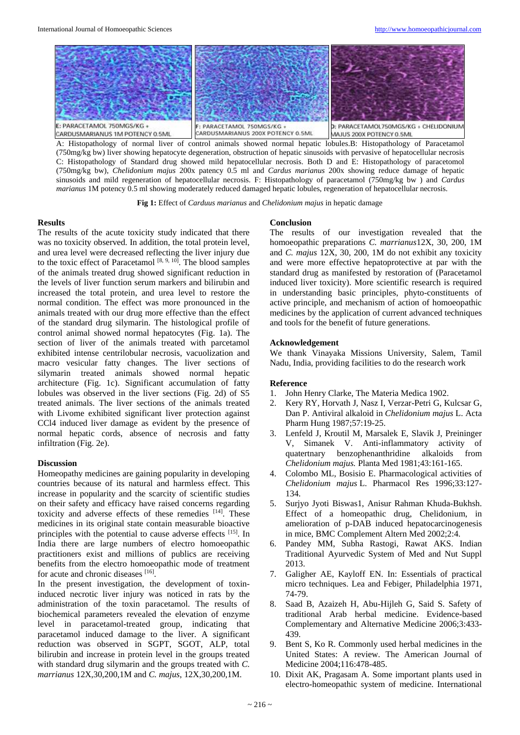

A: Histopathology of normal liver of control animals showed normal hepatic lobules.B: Histopathology of Paracetamol (750mg/kg bw) liver showing hepatocyte degeneration, obstruction of hepatic sinusoids with pervasive of hepatocellular necrosis C: Histopathology of Standard drug showed mild hepatocellular necrosis. Both D and E: Histopathology of paracetomol (750mg/kg bw), *Chelidonium majus* 200x patency 0.5 ml and *Cardus marianus* 200x showing reduce damage of hepatic sinusoids and mild regeneration of hepatocellular necrosis. F: Histopathology of paracetamol (750mg/kg bw ) and *Cardus marianus* 1M potency 0.5 ml showing moderately reduced damaged hepatic lobules, regeneration of hepatocellular necrosis.

**Fig 1:** Effect of *Carduus marianus* and *Chelidonium majus* in hepatic damage

#### **Results**

The results of the acute toxicity study indicated that there was no toxicity observed. In addition, the total protein level, and urea level were decreased reflecting the liver injury due to the toxic effect of Paracetamol  $[8, 9, 10]$ . The blood samples of the animals treated drug showed significant reduction in the levels of liver function serum markers and bilirubin and increased the total protein, and urea level to restore the normal condition. The effect was more pronounced in the animals treated with our drug more effective than the effect of the standard drug silymarin. The histological profile of control animal showed normal hepatocytes (Fig. 1a). The section of liver of the animals treated with parcetamol exhibited intense centrilobular necrosis, vacuolization and macro vesicular fatty changes. The liver sections of silymarin treated animals showed normal hepatic architecture (Fig. 1c). Significant accumulation of fatty lobules was observed in the liver sections (Fig. 2d) of S5 treated animals. The liver sections of the animals treated with Livome exhibited significant liver protection against CCl4 induced liver damage as evident by the presence of normal hepatic cords, absence of necrosis and fatty infiltration (Fig. 2e).

## **Discussion**

Homeopathy medicines are gaining popularity in developing countries because of its natural and harmless effect. This increase in popularity and the scarcity of scientific studies on their safety and efficacy have raised concerns regarding toxicity and adverse effects of these remedies [14]. These medicines in its original state contain measurable bioactive principles with the potential to cause adverse effects [15]. In India there are large numbers of electro homoeopathic practitioners exist and millions of publics are receiving benefits from the electro homoeopathic mode of treatment for acute and chronic diseases [16].

In the present investigation, the development of toxininduced necrotic liver injury was noticed in rats by the administration of the toxin paracetamol. The results of biochemical parameters revealed the elevation of enzyme level in paracetamol-treated group, indicating that paracetamol induced damage to the liver. A significant reduction was observed in SGPT, SGOT, ALP, total bilirubin and increase in protein level in the groups treated with standard drug silymarin and the groups treated with *C. marrianus* 12X,30,200,1M and *C. majus*, 12X,30,200,1M.

#### **Conclusion**

The results of our investigation revealed that the homoeopathic preparations *C. marrianus*12X, 30, 200, 1M and *C. majus* 12X, 30, 200, 1M do not exhibit any toxicity and were more effective hepatoprotective at par with the standard drug as manifested by restoration of (Paracetamol induced liver toxicity). More scientific research is required in understanding basic principles, phyto-constituents of active principle, and mechanism of action of homoeopathic medicines by the application of current advanced techniques and tools for the benefit of future generations.

### **Acknowledgement**

We thank Vinayaka Missions University, Salem, Tamil Nadu, India, providing facilities to do the research work

## **Reference**

- 1. John Henry Clarke, The Materia Medica 1902.
- 2. Kery RY, Horvath J, Nasz I, Verzar-Petri G, Kulcsar G, Dan P. Antiviral alkaloid in *Chelidonium majus* L. Acta Pharm Hung 1987;57:19-25.
- 3. Lenfeld J, Kroutil M, Marsalek E, Slavik J, Preininger V, Simanek V. Anti-inflammatory activity of quatertnary benzophenanthridine alkaloids from *Chelidonium majus.* Planta Med 1981;43:161-165.
- 4. Colombo ML, Bosisio E. Pharmacological activities of *Chelidonium majus* L. Pharmacol Res 1996;33:127- 134.
- 5. Surjyo Jyoti Biswas1, Anisur Rahman Khuda-Bukhsh. Effect of a homeopathic drug, Chelidonium, in amelioration of p-DAB induced hepatocarcinogenesis in mice, BMC Complement Altern Med 2002;2:4.
- 6. Pandey MM, Subha Rastogi, Rawat AKS. Indian Traditional Ayurvedic System of Med and Nut Suppl 2013.
- 7. Galigher AE, Kayloff EN. In: Essentials of practical micro techniques. Lea and Febiger, Philadelphia 1971, 74-79.
- 8. Saad B, Azaizeh H, Abu-Hijleh G, Said S. Safety of traditional Arab herbal medicine. Evidence-based Complementary and Alternative Medicine 2006;3:433- 439.
- 9. Bent S, Ko R. Commonly used herbal medicines in the United States: A review. The American Journal of Medicine 2004;116:478-485.
- 10. Dixit AK, Pragasam A. Some important plants used in electro-homeopathic system of medicine. International